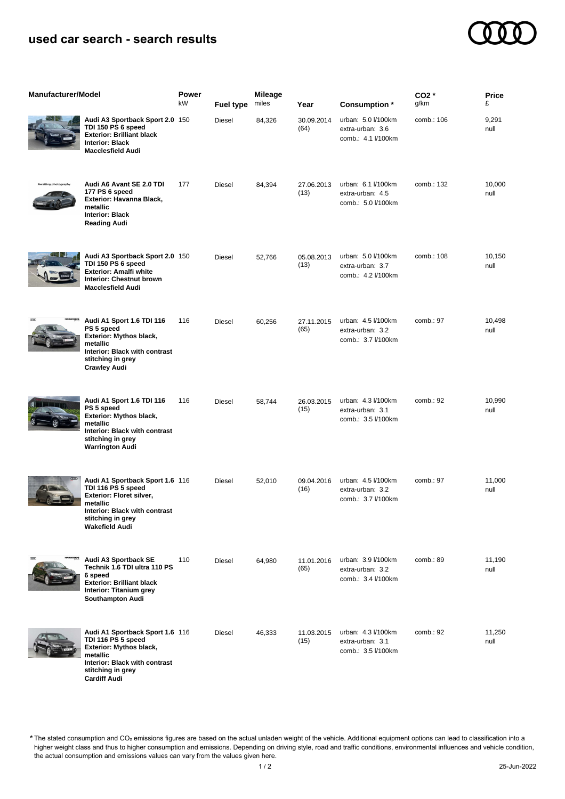## **used car search - search results**



| <b>Manufacturer/Model</b> |                                                                                                                                                                              | Power<br>kW | <b>Fuel type</b> | <b>Mileage</b><br>miles | Year               | Consumption *                                                | $CO2*$<br>g/km | Price<br>£     |
|---------------------------|------------------------------------------------------------------------------------------------------------------------------------------------------------------------------|-------------|------------------|-------------------------|--------------------|--------------------------------------------------------------|----------------|----------------|
|                           | Audi A3 Sportback Sport 2.0 150<br>TDI 150 PS 6 speed<br><b>Exterior: Brilliant black</b><br><b>Interior: Black</b><br><b>Macclesfield Audi</b>                              |             | Diesel           | 84,326                  | 30.09.2014<br>(64) | urban: 5.0 l/100km<br>extra-urban: 3.6<br>comb.: 4.1 l/100km | comb.: 106     | 9,291<br>null  |
|                           | Audi A6 Avant SE 2.0 TDI<br>177 PS 6 speed<br>Exterior: Havanna Black,<br>metallic<br><b>Interior: Black</b><br><b>Reading Audi</b>                                          | 177         | <b>Diesel</b>    | 84,394                  | 27.06.2013<br>(13) | urban: 6.1 l/100km<br>extra-urban: 4.5<br>comb.: 5.0 l/100km | comb.: 132     | 10,000<br>null |
|                           | Audi A3 Sportback Sport 2.0 150<br>TDI 150 PS 6 speed<br><b>Exterior: Amalfi white</b><br>Interior: Chestnut brown<br><b>Macclesfield Audi</b>                               |             | Diesel           | 52,766                  | 05.08.2013<br>(13) | urban: 5.0 l/100km<br>extra-urban: 3.7<br>comb.: 4.2 l/100km | comb.: 108     | 10,150<br>null |
|                           | Audi A1 Sport 1.6 TDI 116<br>PS 5 speed<br>Exterior: Mythos black,<br>metallic<br>Interior: Black with contrast<br>stitching in grey<br><b>Crawley Audi</b>                  | 116         | Diesel           | 60,256                  | 27.11.2015<br>(65) | urban: 4.5 l/100km<br>extra-urban: 3.2<br>comb.: 3.7 l/100km | comb.: 97      | 10,498<br>null |
|                           | Audi A1 Sport 1.6 TDI 116<br>PS 5 speed<br>Exterior: Mythos black,<br>metallic<br>Interior: Black with contrast<br>stitching in grey<br><b>Warrington Audi</b>               | 116         | Diesel           | 58,744                  | 26.03.2015<br>(15) | urban: 4.3 l/100km<br>extra-urban: 3.1<br>comb.: 3.5 l/100km | comb.: 92      | 10,990<br>null |
|                           | Audi A1 Sportback Sport 1.6 116<br>TDI 116 PS 5 speed<br>Exterior: Floret silver,<br>metallic<br>Interior: Black with contrast<br>stitching in grey<br><b>Wakefield Audi</b> |             | Diesel           | 52,010                  | 09.04.2016<br>(16) | urban: 4.5 l/100km<br>extra-urban: 3.2<br>comb.: 3.7 I/100km | comb.: 97      | 11,000<br>null |
| GOOD                      | Audi A3 Sportback SE<br>Technik 1.6 TDI ultra 110 PS<br>6 speed<br><b>Exterior: Brilliant black</b><br><b>Interior: Titanium grey</b><br>Southampton Audi                    | 110         | Diesel           | 64,980                  | 11.01.2016<br>(65) | urban: 3.9 l/100km<br>extra-urban: 3.2<br>comb.: 3.4 l/100km | comb.: 89      | 11,190<br>null |
|                           | Audi A1 Sportback Sport 1.6 116<br>TDI 116 PS 5 speed<br>Exterior: Mythos black,<br>metallic<br>Interior: Black with contrast<br>stitching in grey<br><b>Cardiff Audi</b>    |             | Diesel           | 46,333                  | 11.03.2015<br>(15) | urban: 4.3 l/100km<br>extra-urban: 3.1<br>comb.: 3.5 l/100km | comb.: 92      | 11,250<br>null |

The stated consumption and CO₂ emissions figures are based on the actual unladen weight of the vehicle. Additional equipment options can lead to classification into a higher weight class and thus to higher consumption and emissions. Depending on driving style, road and traffic conditions, environmental influences and vehicle condition, the actual consumption and emissions values can vary from the values given here. \*